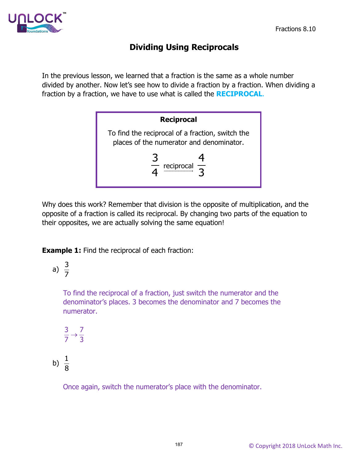

## **Dividing Using Reciprocals**

In the previous lesson, we learned that a fraction is the same as a whole number divided by another. Now let's see how to divide a fraction by a fraction. When dividing a fraction by a fraction, we have to use what is called the **RECIPROCAL**.



Why does this work? Remember that division is the opposite of multiplication, and the opposite of a fraction is called its reciprocal. By changing two parts of the equation to their opposites, we are actually solving the same equation!

**Example 1:** Find the reciprocal of each fraction:

a) 
$$
\frac{3}{7}
$$

To find the reciprocal of a fraction, just switch the numerator and the denominator's places. 3 becomes the denominator and 7 becomes the numerator.

$$
\frac{3}{7} \rightarrow \frac{7}{3}
$$

b)  $\frac{1}{2}$ 8

Once again, switch the numerator's place with the denominator.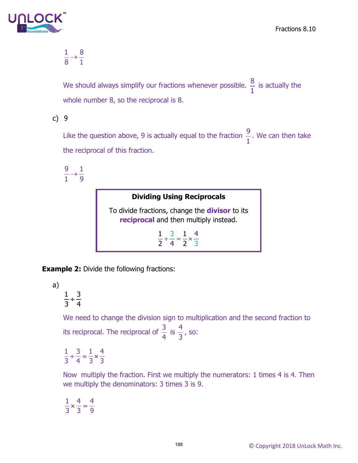

$$
\frac{1}{8}\rightarrow \frac{8}{1}
$$

We should always simplify our fractions whenever possible.  $\frac{8}{1}$  $\frac{1}{1}$  is actually the whole number 8, so the reciprocal is 8.

c) 9

Like the question above, 9 is actually equal to the fraction  $\frac{9}{1}$ 1 . We can then take the reciprocal of this fraction.

9 1 1 9  $\rightarrow$ 

> **Dividing Using Reciprocals** To divide fractions, change the **divisor** to its **reciprocal** and then multiply instead. 4 4 3 3  $1 \quad 3 \quad 1$ 2 4 2  $\div \frac{3}{4} = \frac{1}{2} \times$

**Example 2:** Divide the following fractions:

a)

 $\frac{1}{2}$  ÷  $\frac{3}{4}$ 3 4

We need to change the division sign to multiplication and the second fraction to its reciprocal. The reciprocal of  $\frac{3}{4}$ 4 is  $\frac{4}{3}$ , so:

 $1, 3, 1, 4$ 34 33  $\div \frac{3}{4} = \frac{1}{2} \times$ 

Now multiply the fraction. First we multiply the numerators: 1 times 4 is 4. Then we multiply the denominators: 3 times 3 is 9.

 $1^{4}$  4 33 9  $\times\frac{1}{2}$  =